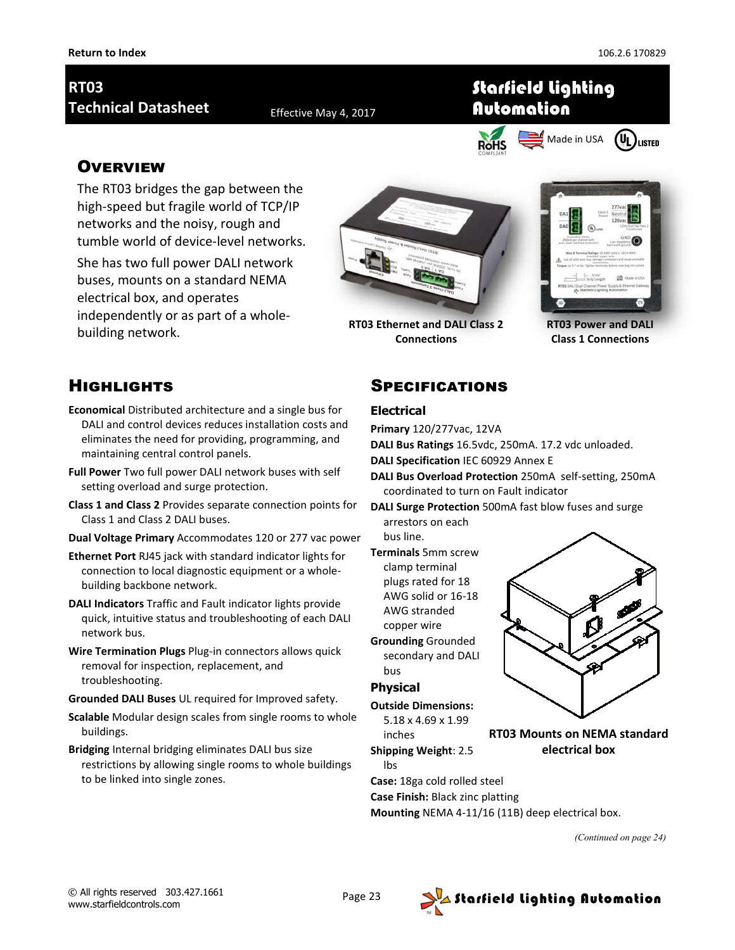# **RT03 Technical Datasheet** Effective May 4, 2017

Starfield Lighting Automation



### **OVERVIEW**

The RT03 bridges the gap between the high-speed but fragile world of TCP/IP networks and the noisy, rough and tumble world of device-level networks.

She has two full power DALI network buses, mounts on a standard NEMA electrical box, and operates independently or as part of a wholebuilding network.



**Connections**



**RT03 Power and DALI Class 1 Connections**

## **HIGHLIGHTS**

- **Economical** Distributed architecture and a single bus for DALI and control devices reduces installation costs and eliminates the need for providing, programming, and maintaining central control panels.
- **Full Power** Two full power DALI network buses with self setting overload and surge protection.
- **Class 1 and Class 2** Provides separate connection points for Class 1 and Class 2 DALI buses.
- **Dual Voltage Primary** Accommodates 120 or 277 vac power
- **Ethernet Port** RJ45 jack with standard indicator lights for connection to local diagnostic equipment or a wholebuilding backbone network.
- **DALI Indicators** Traffic and Fault indicator lights provide quick, intuitive status and troubleshooting of each DALI network bus.
- **Wire Termination Plugs** Plug-in connectors allows quick removal for inspection, replacement, and troubleshooting.
- **Grounded DALI Buses** UL required for Improved safety.
- **Scalable** Modular design scales from single rooms to whole buildings.
- **Bridging** Internal bridging eliminates DALI bus size restrictions by allowing single rooms to whole buildings to be linked into single zones.

#### **SPECIFICATIONS**

#### **Electrical**

**Primary** 120/277vac, 12VA

**DALI Bus Ratings** 16.5vdc, 250mA. 17.2 vdc unloaded.

**DALI Specification** IEC 60929 Annex E

- **DALI Bus Overload Protection** 250mA self-setting, 250mA coordinated to turn on Fault indicator
- **DALI Surge Protection** 500mA fast blow fuses and surge arrestors on each

bus line.

- **Terminals** 5mm screw clamp terminal plugs rated for 18 AWG solid or 16-18 AWG stranded copper wire
- **Grounding** Grounded secondary and DALI bus

#### **Physical**

**Outside Dimensions:** 

5.18 x 4.69 x 1.99 inches



**RT03 Mounts on NEMA standard electrical box**

lbs **Case:** 18ga cold rolled steel **Case Finish:** Black zinc platting

**Mounting** NEMA 4-11/16 (11B) deep electrical box.

*(Continued on page 24)*